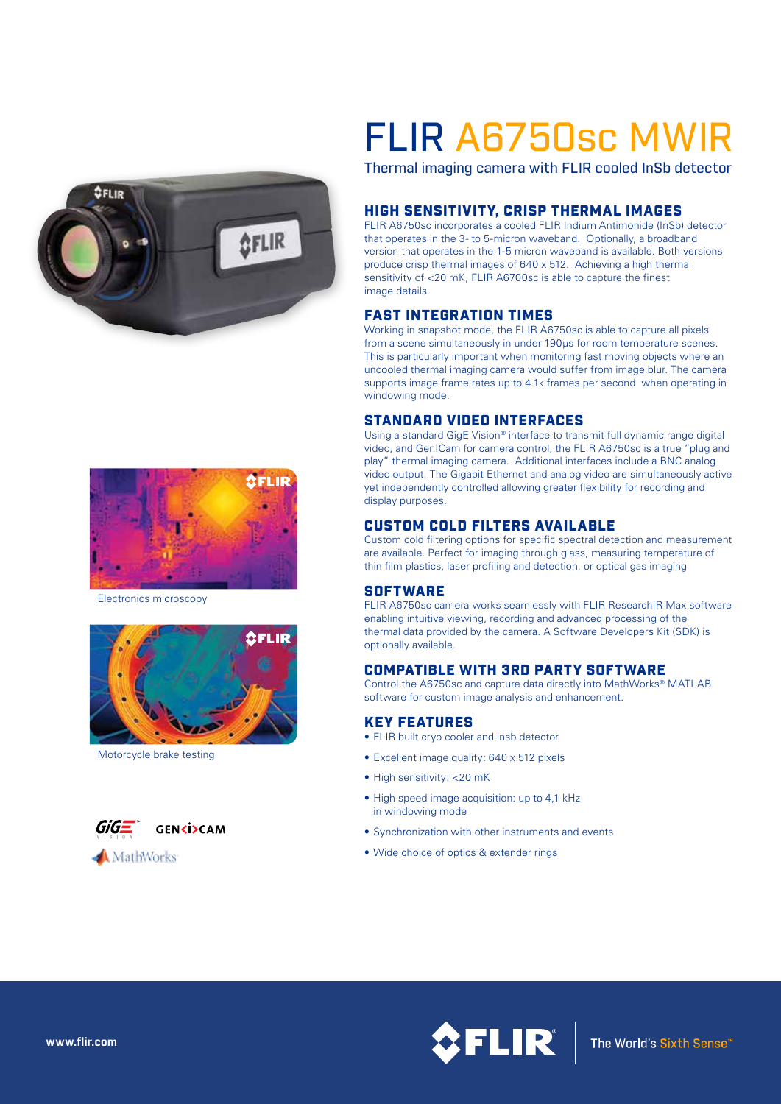



Electronics microscopy



Motorcycle brake testing



# FLIR A6750sc MWIR

Thermal imaging camera with FLIR cooled InSb detector

### HIGH SENSITIVITY, CRISP THERMAL IMAGES

FLIR A6750sc incorporates a cooled FLIR Indium Antimonide (InSb) detector that operates in the 3- to 5-micron waveband. Optionally, a broadband version that operates in the 1-5 micron waveband is available. Both versions produce crisp thermal images of 640 x 512. Achieving a high thermal sensitivity of <20 mK, FLIR A6700sc is able to capture the finest image details.

#### FAST INTEGRATION TIMES

Working in snapshot mode, the FLIR A6750sc is able to capture all pixels from a scene simultaneously in under 190µs for room temperature scenes. This is particularly important when monitoring fast moving objects where an uncooled thermal imaging camera would suffer from image blur. The camera supports image frame rates up to 4.1k frames per second when operating in windowing mode.

#### STANDARD VIDEO INTERFACES

Using a standard GigE Vision® interface to transmit full dynamic range digital video, and GenICam for camera control, the FLIR A6750sc is a true "plug and play" thermal imaging camera. Additional interfaces include a BNC analog video output. The Gigabit Ethernet and analog video are simultaneously active yet independently controlled allowing greater flexibility for recording and display purposes.

#### CUSTOM COLD FILTERS AVAILABLE

Custom cold filtering options for specific spectral detection and measurement are available. Perfect for imaging through glass, measuring temperature of thin film plastics, laser profiling and detection, or optical gas imaging

#### **SOFTWARE**

FLIR A6750sc camera works seamlessly with FLIR ResearchIR Max software enabling intuitive viewing, recording and advanced processing of the thermal data provided by the camera. A Software Developers Kit (SDK) is optionally available.

#### COMPATIBLE WITH 3RD PARTY SOFTWARE

Control the A6750sc and capture data directly into MathWorks® MATLAB software for custom image analysis and enhancement.

#### KEY FEATURES

- FLIR built cryo cooler and insb detector
- Excellent image quality: 640 x 512 pixels
- High sensitivity: <20 mK
- High speed image acquisition: up to 4,1 kHz in windowing mode
- Synchronization with other instruments and events
- Wide choice of optics & extender rings